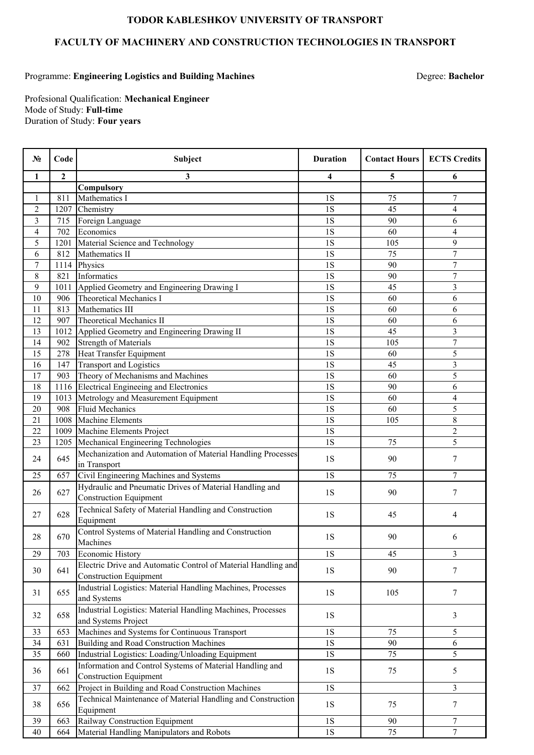## **TODOR KABLESHKOV UNIVERSITY OF TRANSPORT**

## **FACULTY OF MACHINERY AND CONSTRUCTION TECHNOLOGIES IN TRANSPORT**

## Programme: **Engineering Logistics and Building Machines**

Degree: **Bachelor**

Profesional Qualification: **Mechanical Engineer** Duration of Study: **Four years** Mode of Study: **Full-time**

| No.            | Code           | Subject                                                                                   | <b>Duration</b> | <b>Contact Hours</b> | <b>ECTS Credits</b>     |
|----------------|----------------|-------------------------------------------------------------------------------------------|-----------------|----------------------|-------------------------|
| 1              | $\overline{2}$ | 3                                                                                         | 4               | 5                    | 6                       |
|                |                | Compulsory                                                                                |                 |                      |                         |
| 1              | 811            | Mathematics I                                                                             | <b>1S</b>       | 75                   | 7                       |
| $\overline{2}$ | 1207           | Chemistry                                                                                 | <b>1S</b>       | 45                   | 4                       |
| 3              | 715            | Foreign Language                                                                          | 1S              | 90                   | 6                       |
| 4              | 702            | Economics                                                                                 | <b>1S</b>       | 60                   | $\overline{4}$          |
| 5              | 1201           | Material Science and Technology                                                           | 1S              | 105                  | 9                       |
| 6              | 812            | Mathematics II                                                                            | <b>1S</b>       | 75                   | $\overline{7}$          |
| 7              | 1114           | Physics                                                                                   | <b>1S</b>       | 90                   | 7                       |
| 8              | 821            | Informatics                                                                               | 1S              | 90                   | $\overline{7}$          |
| 9              | 1011           | Applied Geometry and Engineering Drawing I                                                | 1S              | 45                   | 3                       |
| 10             | 906            | <b>Theoretical Mechanics I</b>                                                            | 1S              | 60                   | 6                       |
| 11             | 813            | Mathematics III                                                                           | <b>1S</b>       | 60                   | 6                       |
| 12             | 907            | <b>Theoretical Mechanics II</b>                                                           | 1S              | 60                   | 6                       |
| 13             | 1012           | Applied Geometry and Engineering Drawing II                                               | <b>1S</b>       | 45                   | $\overline{\mathbf{3}}$ |
| 14             | 902            | <b>Strength of Materials</b>                                                              | <b>1S</b>       | 105                  | $\overline{7}$          |
| 15             | 278            | Heat Transfer Equipment                                                                   | 1S              | 60                   | 5                       |
| 16             | 147            | <b>Transport and Logistics</b>                                                            | <b>1S</b>       | 45                   | $\overline{3}$          |
| 17             | 903            | Theory of Mechanisms and Machines                                                         | 1S              | 60                   | 5                       |
| 18             | 1116           | Electrical Engineeing and Electronics                                                     | 1S              | 90                   | 6                       |
| 19             | 1013           | Metrology and Measurement Equipment                                                       | <b>1S</b>       | 60                   | 4                       |
| 20             | 908            | <b>Fluid Mechanics</b>                                                                    | 1S              | 60                   | 5                       |
| 21             | 1008           | <b>Machine Elements</b>                                                                   | <b>1S</b>       | 105                  | $8\,$                   |
| 22             | 1009           | Machine Elements Project                                                                  | 1S              |                      | $\overline{2}$          |
| 23             | 1205           | Mechanical Engineering Technologies                                                       | 1S              | 75                   | 5                       |
| 24             | 645            | Mechanization and Automation of Material Handling Processes<br>in Transport               | <b>1S</b>       | 90                   | $\tau$                  |
| 25             | 657            | Civil Engineering Machines and Systems                                                    | 1S              | 75                   | $\overline{7}$          |
| 26             | 627            | Hydraulic and Pneumatic Drives of Material Handling and<br><b>Construction Equipment</b>  | <b>1S</b>       | 90                   | 7                       |
| 27             | 628            | Technical Safety of Material Handling and Construction<br>Equipment                       | 1S              | 45                   | 4                       |
| 28             | 670            | Control Systems of Material Handling and Construction<br>Machines                         | 1S              | 90                   | 6                       |
| 29             | 703            | Economic History                                                                          | <b>1S</b>       | 45                   | 3                       |
|                |                | Electric Drive and Automatic Control of Material Handling and                             |                 |                      |                         |
| 30             | 641            | <b>Construction Equipment</b>                                                             | <b>1S</b>       | 90                   | $\tau$                  |
| 31             | 655            | Industrial Logistics: Material Handling Machines, Processes                               | <b>1S</b>       | 105                  | $7\phantom{.0}$         |
|                |                | and Systems                                                                               |                 |                      |                         |
| 32             | 658            | Industrial Logistics: Material Handling Machines, Processes<br>and Systems Project        | 1S              |                      | $\mathfrak{Z}$          |
| 33             | 653            | Machines and Systems for Continuous Transport                                             | <b>1S</b>       | 75                   | 5                       |
| 34             | 631            | <b>Building and Road Construction Machines</b>                                            | <b>1S</b>       | 90                   | 6                       |
| 35             | 660            | Industrial Logistics: Loading/Unloading Equipment                                         | $1\mathrm{S}$   | 75                   | 5                       |
| 36             | 661            | Information and Control Systems of Material Handling and<br><b>Construction Equipment</b> | 1S              | 75                   | 5                       |
| 37             | 662            | Project in Building and Road Construction Machines                                        | $1S$            |                      | $\mathfrak{Z}$          |
| 38             | 656            | Technical Maintenance of Material Handling and Construction<br>Equipment                  | 1S              | 75                   | $7\phantom{.0}$         |
| 39             | 663            | Railway Construction Equipment                                                            | <b>1S</b>       | 90                   | 7                       |
| 40             | 664            | Material Handling Manipulators and Robots                                                 | $1\mathrm{S}$   | 75                   | $\overline{7}$          |